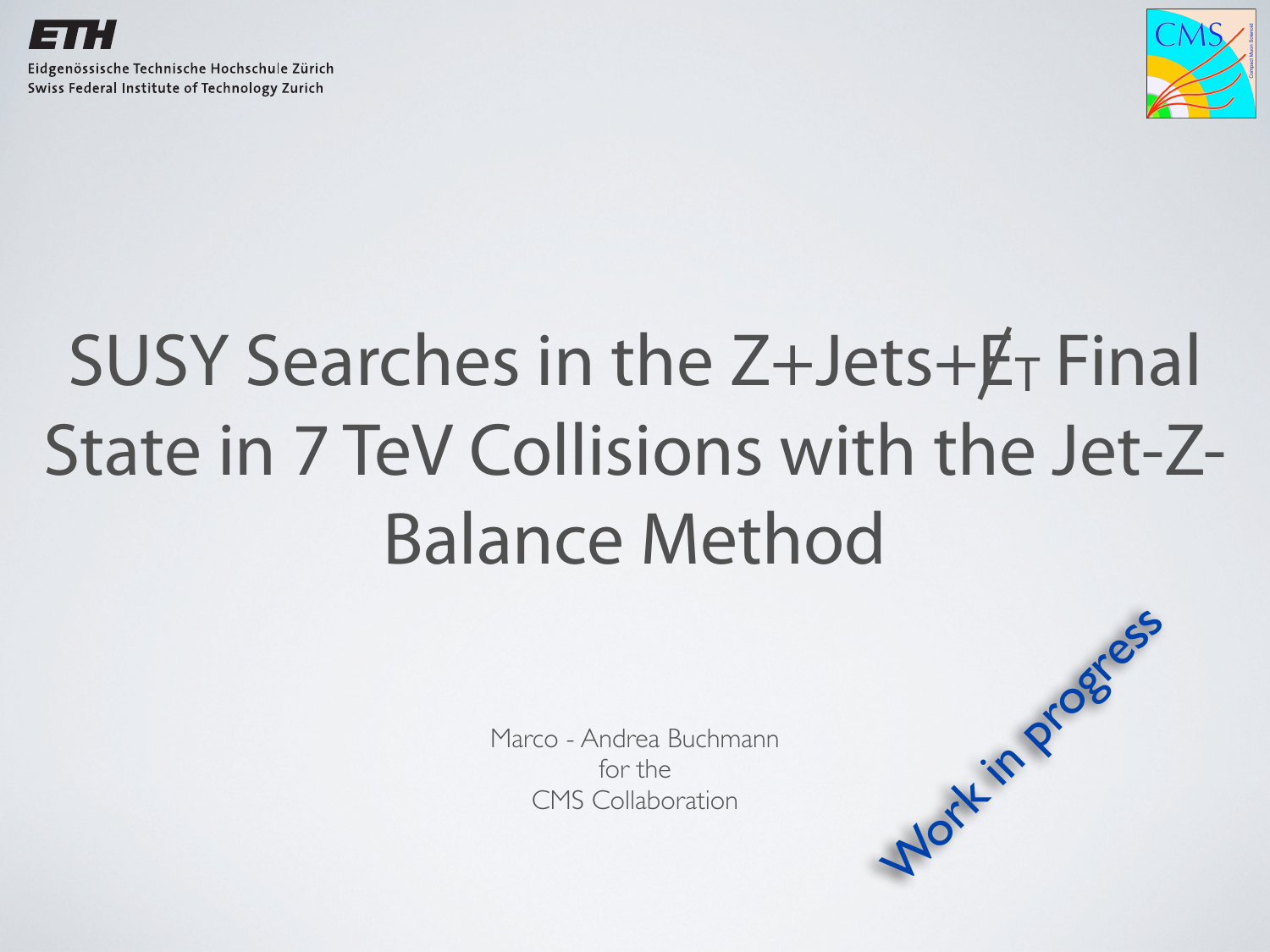



## SUSY Searches in the Z+Jets+ET Final State in 7 TeV Collisions with the Jet-Z-Balance Method

Marco - Andrea Buchmann for the

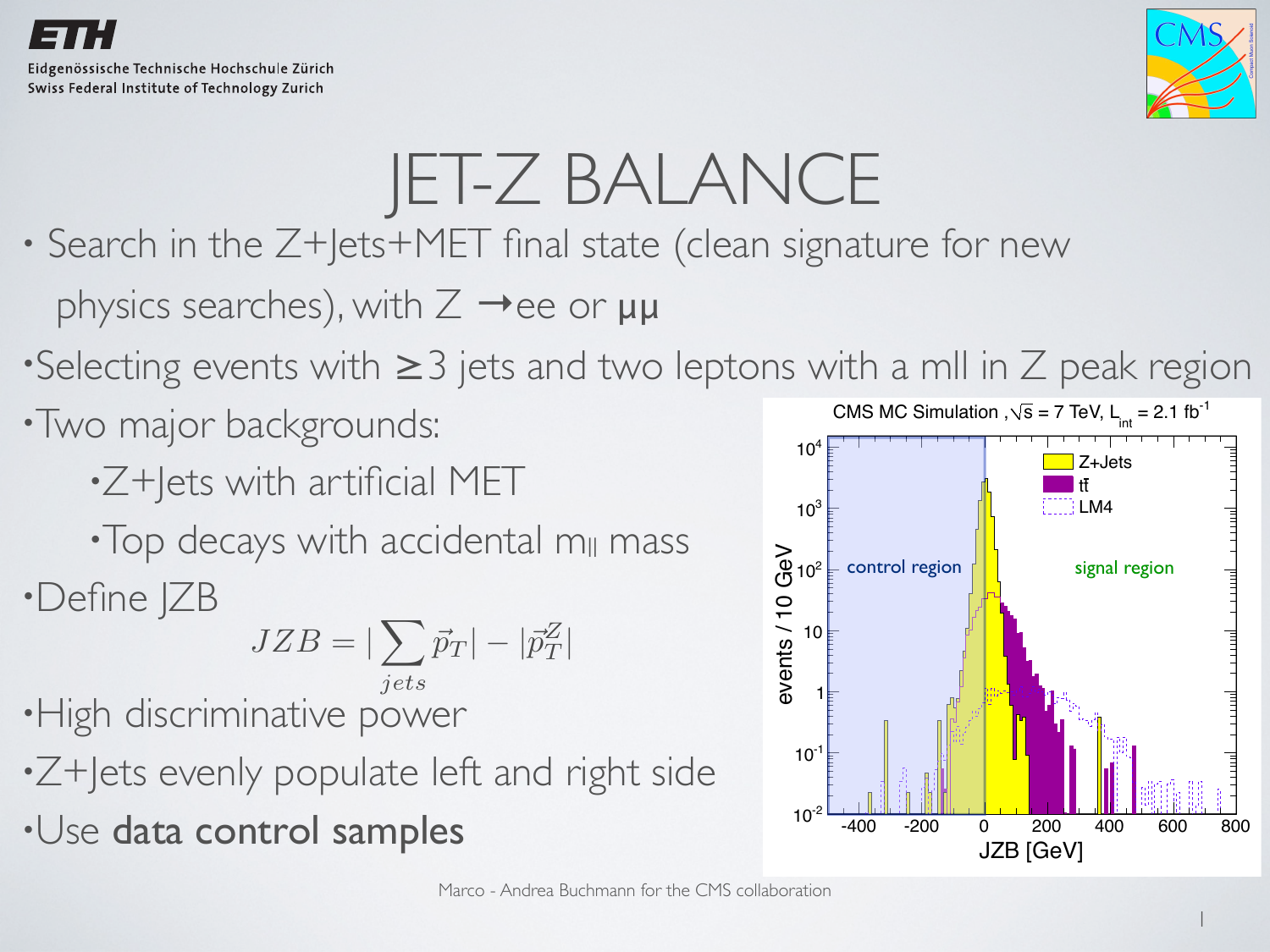



### JET-Z BALANCE

- Search in the Z+Jets+MET final state (clean signature for new physics searches), with  $Z \rightarrow ee$  or  $\mu\mu$
- •Selecting events with ≥3 jets and two leptons with a mII in Z peak region
- •Two major backgrounds:
	- •Z+Jets with artificial MET

•Top decays with accidental m<sub>ll</sub> mass •Define JZB

$$
JZB = |\sum_{jets}\vec{p}_T| - |\vec{p}_T^Z|
$$

•High discriminative power

- •Z+Jets evenly populate left and right side
- •Use data control samples

![](_page_1_Figure_13.jpeg)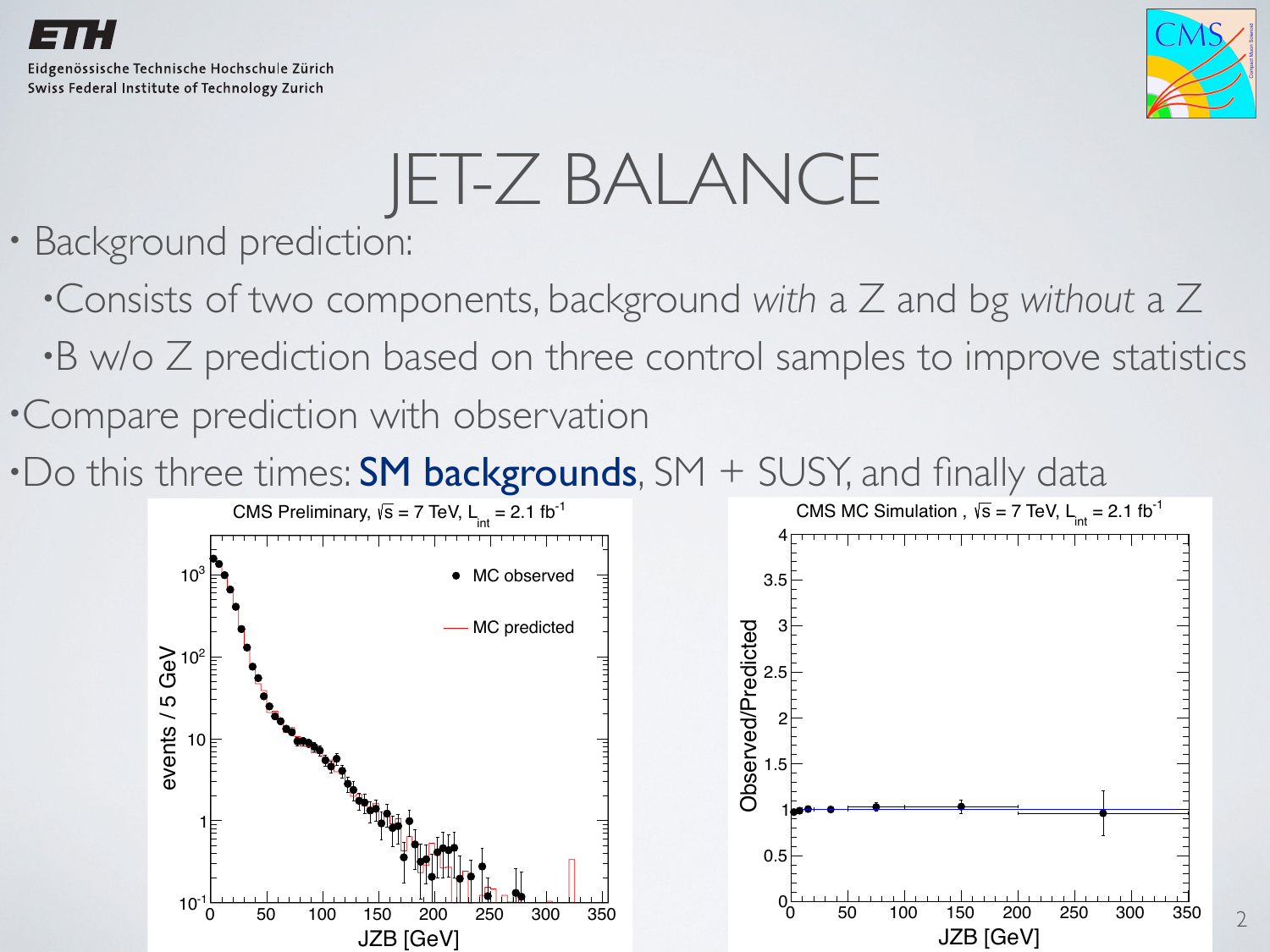![](_page_2_Picture_0.jpeg)

![](_page_2_Picture_2.jpeg)

2

# JET-Z BALANCE

- Background prediction:
	- •Consists of two components, background *with* a Z and bg *without* a Z
	- •B w/o Z prediction based on three control samples to improve statistics
- •Compare prediction with observation
- •Do this three times: **SM backgrounds**, SM + SUSY, and finally data

![](_page_2_Figure_9.jpeg)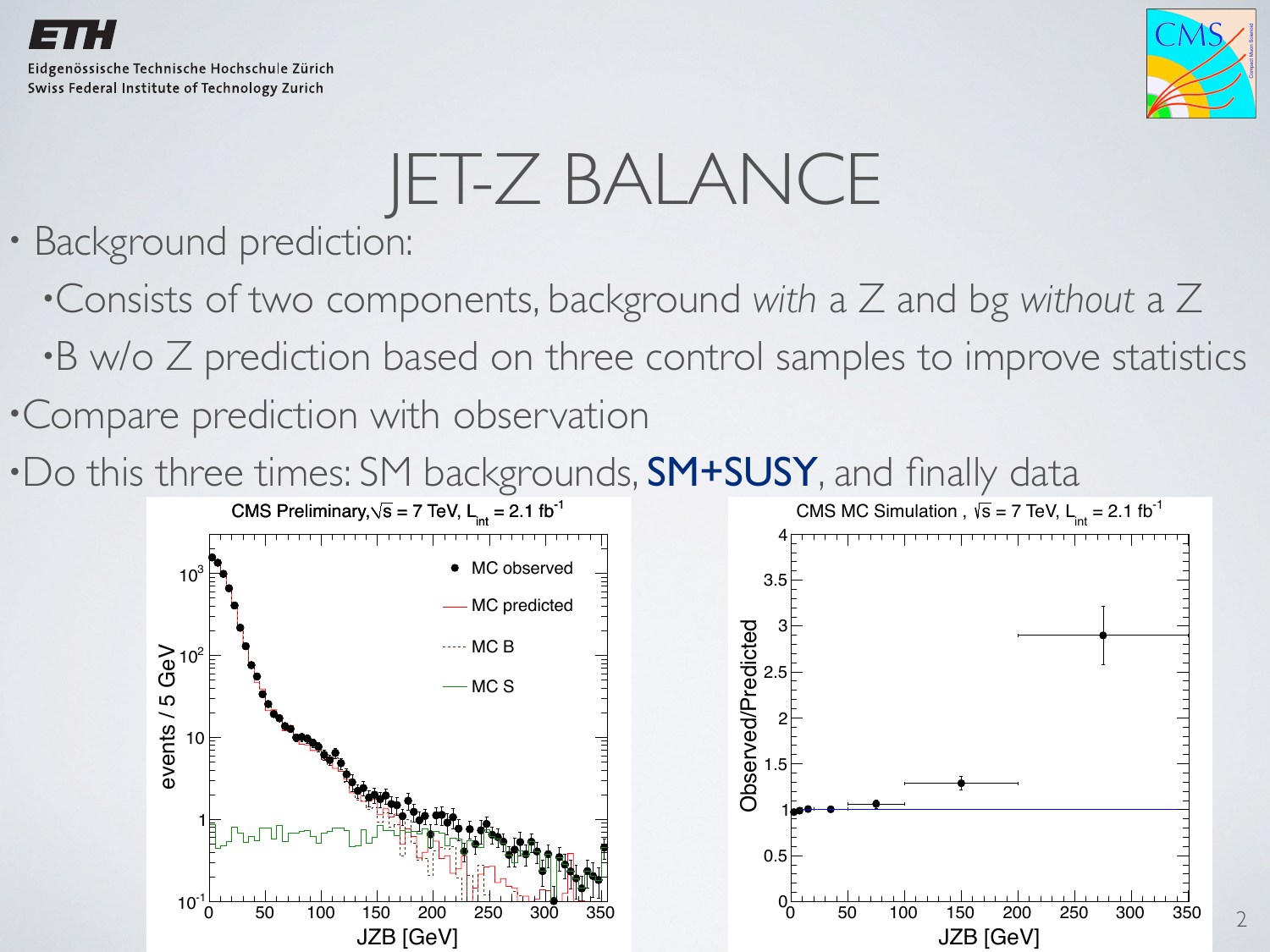![](_page_3_Picture_0.jpeg)

![](_page_3_Picture_2.jpeg)

# JET-Z BALANCE

- Background prediction:
	- •Consists of two components, background *with* a Z and bg *without* a Z
	- •B w/o Z prediction based on three control samples to improve statistics
- •Compare prediction with observation
- •Do this three times: SM backgrounds, SM+SUSY, and finally data

![](_page_3_Figure_9.jpeg)

![](_page_3_Figure_10.jpeg)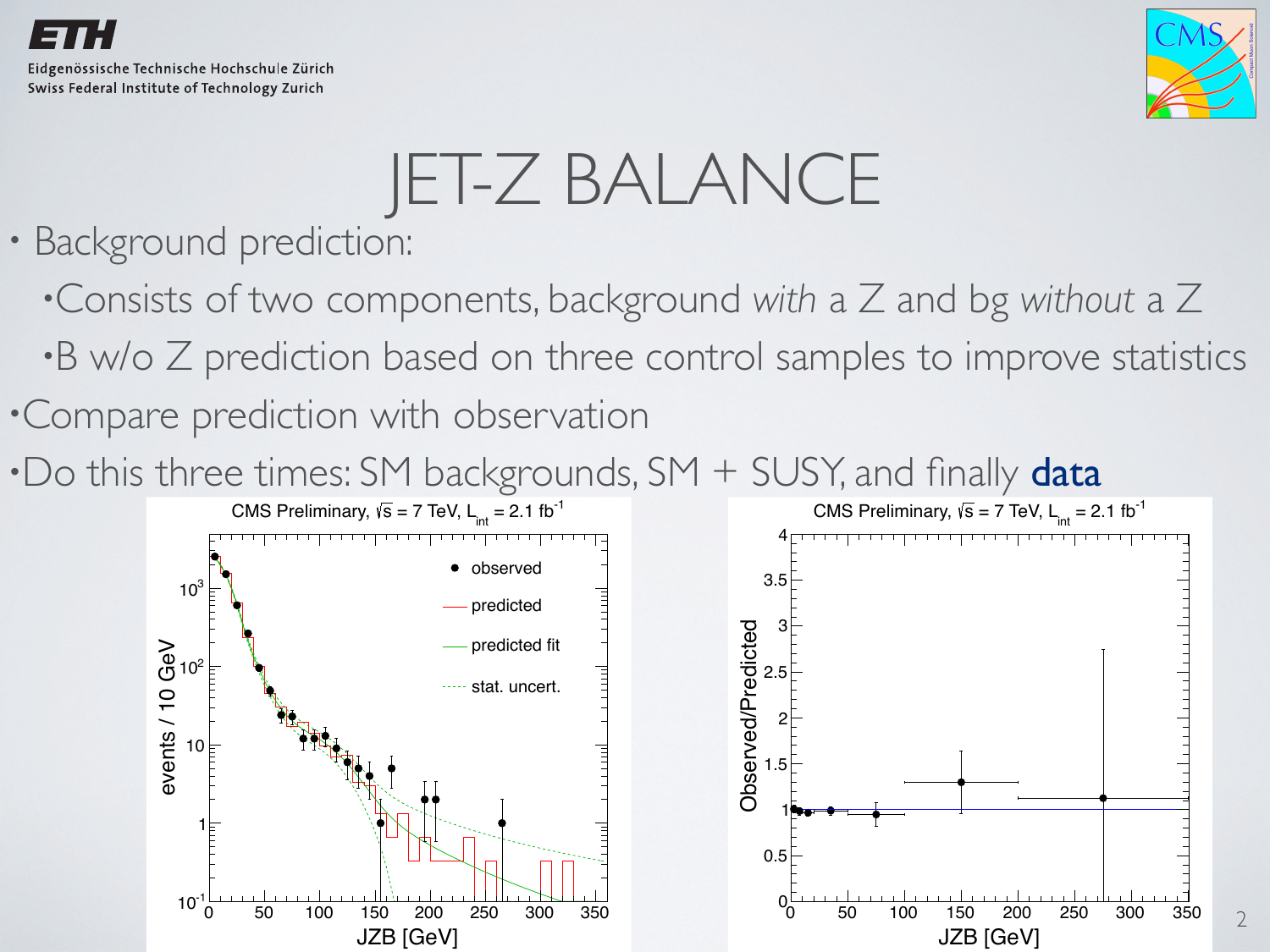![](_page_4_Picture_0.jpeg)

![](_page_4_Picture_2.jpeg)

# JET-Z BALANCE

- Background prediction:
	- •Consists of two components, background *with* a Z and bg *without* a Z
	- •B w/o Z prediction based on three control samples to improve statistics
- •Compare prediction with observation
- $\cdot$  Do this three times: SM backgrounds, SM  $+$  SUSY, and finally data

![](_page_4_Figure_9.jpeg)

![](_page_4_Figure_10.jpeg)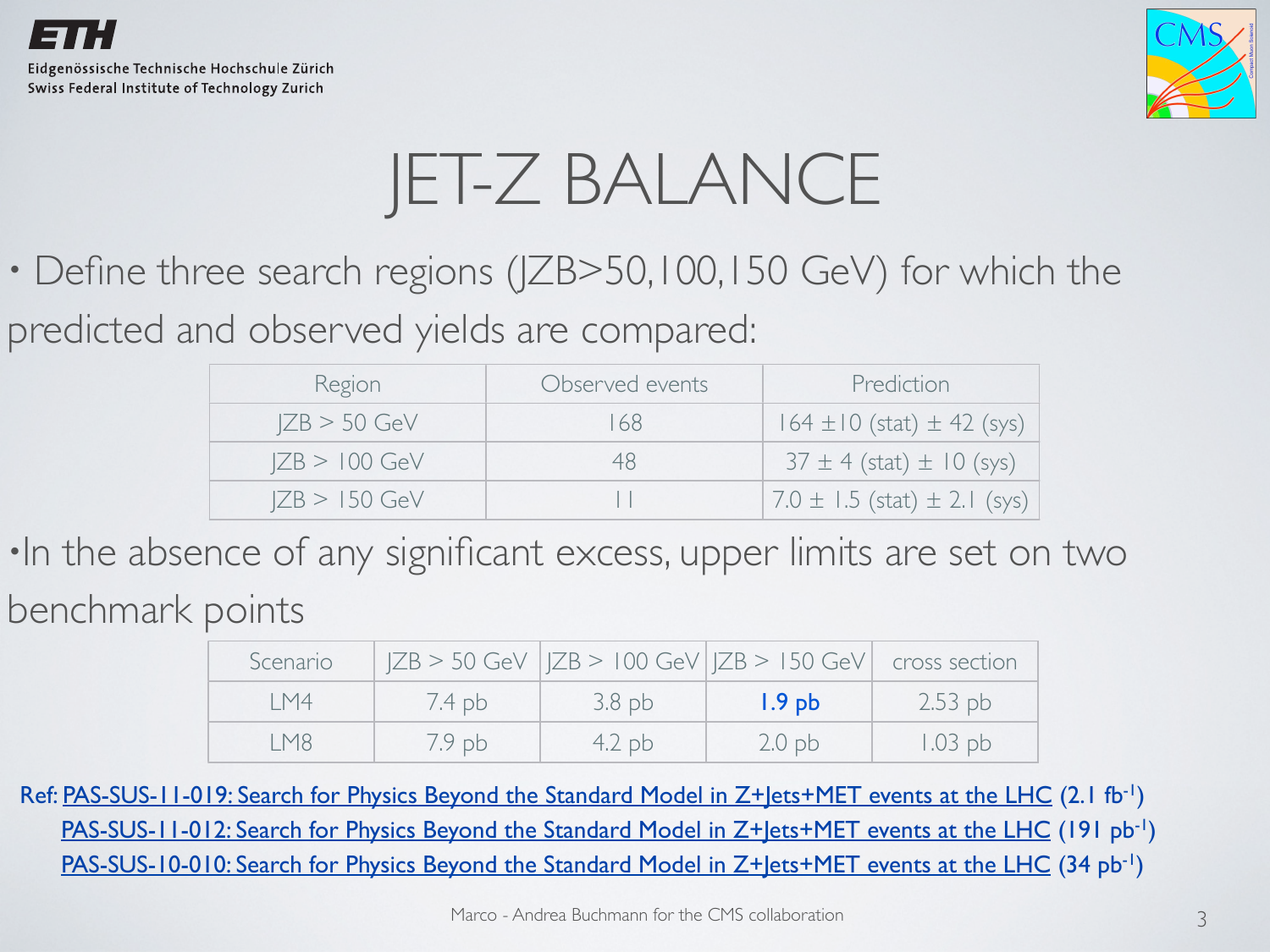![](_page_5_Picture_0.jpeg)

![](_page_5_Picture_2.jpeg)

#### JET-Z BALANCE

• Define three search regions (JZB>50,100,150 GeV) for which the

predicted and observed yields are compared:

| Region          | Observed events | Prediction                           |
|-----------------|-----------------|--------------------------------------|
| $ ZB > 50$ GeV  | 68              | $164 \pm 10$ (stat) $\pm 42$ (sys)   |
| $ ZB > 100$ GeV |                 | $37 \pm 4$ (stat) $\pm 10$ (sys)     |
| $ ZB > 150$ GeV |                 | $7.0 \pm 1.5$ (stat) $\pm 2.1$ (sys) |

•In the absence of any significant excess, upper limits are set on two benchmark points

| Scenario |          |          | $ ZB > 50$ GeV $ ZB > 100$ GeV $ ZB > 150$ GeV cross section |           |
|----------|----------|----------|--------------------------------------------------------------|-----------|
| IM4      | 7.4pb    | $3.8$ pb | 1.9 <sub>pb</sub>                                            | $2.53$ pb |
| I M8     | $7.9$ pb | 4.2pb    | 2.0 <sub>pb</sub>                                            | $1.03$ pb |

Ref: [PAS-SUS-11-019: Search for Physics Beyond the Standard Model in Z+Jets+MET events at the LHC](http://cdsweb.cern.ch/record/1401919?ln=en) (2.1 fb<sup>-1</sup>) [PAS-SUS-11-012: Search for Physics Beyond the Standard Model in Z+Jets+MET events at the LHC](http://cdsweb.cern.ch/record/1356592?ln=en) (191 pb<sup>-1</sup>) [PAS-SUS-10-010: Search for Physics Beyond the Standard Model in Z+Jets+MET events at the LHC](http://cdsweb.cern.ch/record/1354224?ln=en) (34 pb<sup>-1</sup>)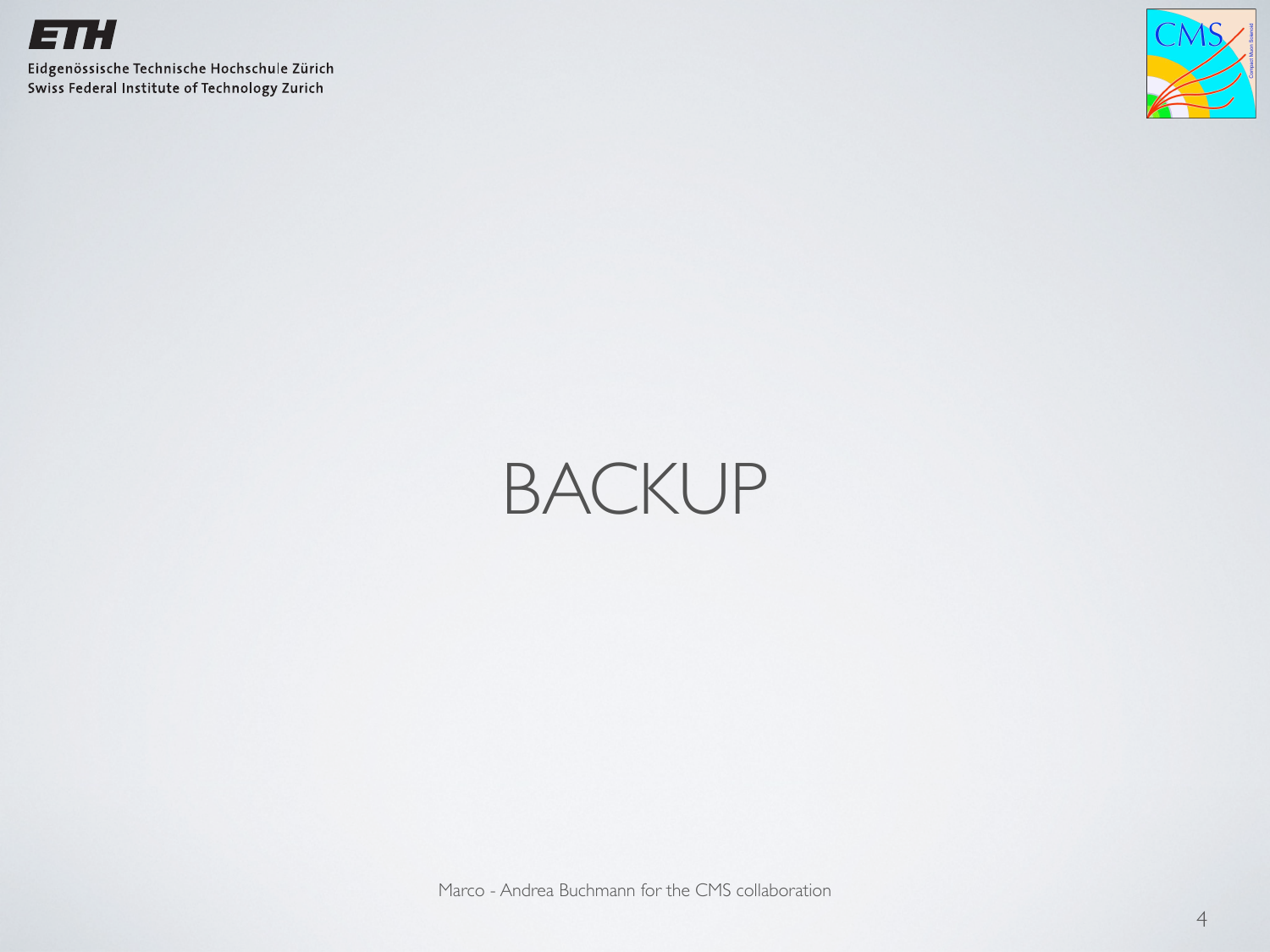![](_page_6_Picture_0.jpeg)

![](_page_6_Picture_2.jpeg)

#### BACKUP

Marco - Andrea Buchmann for the CMS collaboration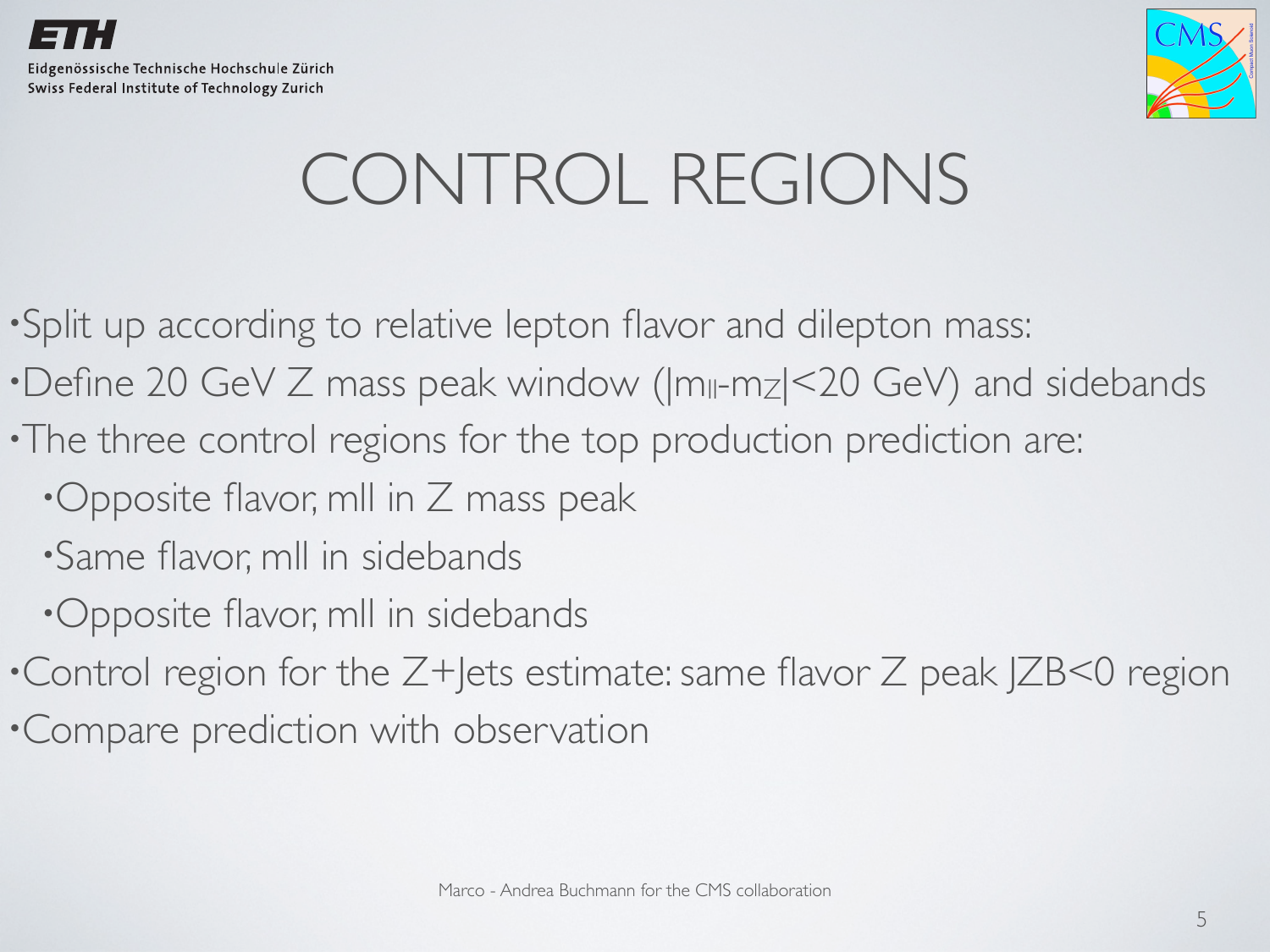![](_page_7_Picture_0.jpeg)

![](_page_7_Picture_1.jpeg)

#### CONTROL REGIONS

•Split up according to relative lepton flavor and dilepton mass:

- •Define 20 GeV Z mass peak window ( $|m_{\parallel}$ -m<sub>Z</sub> $|$ <20 GeV) and sidebands
- •The three control regions for the top production prediction are:
	- •Opposite flavor, mll in Z mass peak
	- •Same flavor, mll in sidebands
	- •Opposite flavor, mll in sidebands
- •Control region for the Z+Jets estimate: same flavor Z peak JZB<0 region
- •Compare prediction with observation